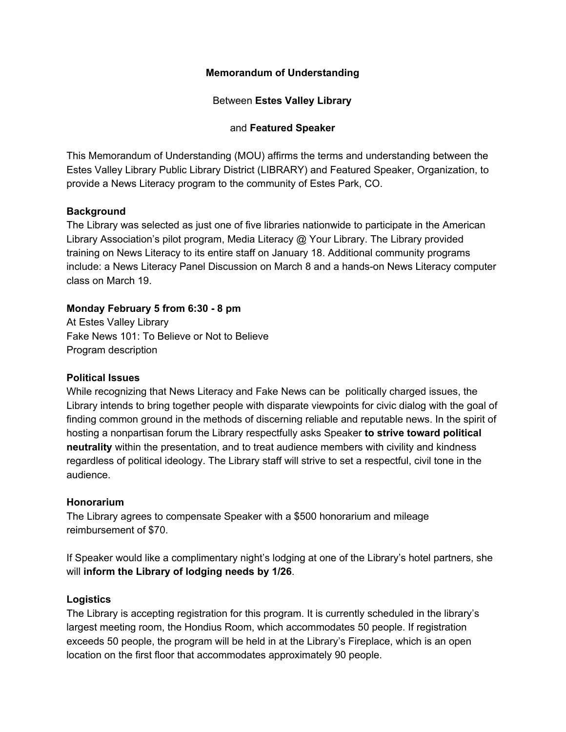# **Memorandum of Understanding**

Between **Estes Valley Library**

### and **Featured Speaker**

This Memorandum of Understanding (MOU) affirms the terms and understanding between the Estes Valley Library Public Library District (LIBRARY) and Featured Speaker, Organization, to provide a News Literacy program to the community of Estes Park, CO.

## **Background**

The Library was selected as just one of five libraries nationwide to participate in the American Library Association's pilot program, Media Literacy @ Your Library. The Library provided training on News Literacy to its entire staff on January 18. Additional community programs include: a News Literacy Panel Discussion on March 8 and a hands-on News Literacy computer class on March 19.

## **Monday February 5 from 6:30 - 8 pm**

At Estes Valley Library Fake News 101: To Believe or Not to Believe Program description

### **Political Issues**

While recognizing that News Literacy and Fake News can be politically charged issues, the Library intends to bring together people with disparate viewpoints for civic dialog with the goal of finding common ground in the methods of discerning reliable and reputable news. In the spirit of hosting a nonpartisan forum the Library respectfully asks Speaker **to strive toward political neutrality** within the presentation, and to treat audience members with civility and kindness regardless of political ideology. The Library staff will strive to set a respectful, civil tone in the audience.

### **Honorarium**

The Library agrees to compensate Speaker with a \$500 honorarium and mileage reimbursement of \$70.

If Speaker would like a complimentary night's lodging at one of the Library's hotel partners, she will **inform the Library of lodging needs by 1/26**.

### **Logistics**

The Library is accepting registration for this program. It is currently scheduled in the library's largest meeting room, the Hondius Room, which accommodates 50 people. If registration exceeds 50 people, the program will be held in at the Library's Fireplace, which is an open location on the first floor that accommodates approximately 90 people.